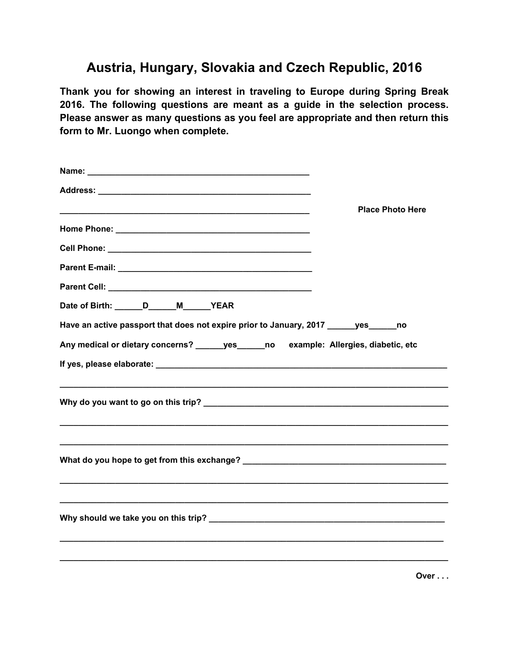## **Austria, Hungary, Slovakia and Czech Republic, 2016**

**Thank you for showing an interest in traveling to Europe during Spring Break 2016. The following questions are meant as a guide in the selection process. Please answer as many questions as you feel are appropriate and then return this form to Mr. Luongo when complete.** 

| Name: Name: Name and All Property and All Property and All Property and All Property and All Property and All                                                                                                                  |                         |
|--------------------------------------------------------------------------------------------------------------------------------------------------------------------------------------------------------------------------------|-------------------------|
|                                                                                                                                                                                                                                |                         |
|                                                                                                                                                                                                                                | <b>Place Photo Here</b> |
| Home Phone: New York Phone: New York Phone: New York Phone: New York Phone: New York Phone: New York Phone: New York Phone: New York Phone: New York Phone: New York Phone: New York Phone: New York Phone: New York Phone: Ne |                         |
|                                                                                                                                                                                                                                |                         |
|                                                                                                                                                                                                                                |                         |
|                                                                                                                                                                                                                                |                         |
| Date of Birth: ______D_______M_______YEAR                                                                                                                                                                                      |                         |
| Have an active passport that does not expire prior to January, 2017 ______yes______no                                                                                                                                          |                         |
| Any medical or dietary concerns? ______ yes ______ no example: Allergies, diabetic, etc                                                                                                                                        |                         |
|                                                                                                                                                                                                                                |                         |
|                                                                                                                                                                                                                                |                         |
|                                                                                                                                                                                                                                |                         |
|                                                                                                                                                                                                                                |                         |
|                                                                                                                                                                                                                                |                         |